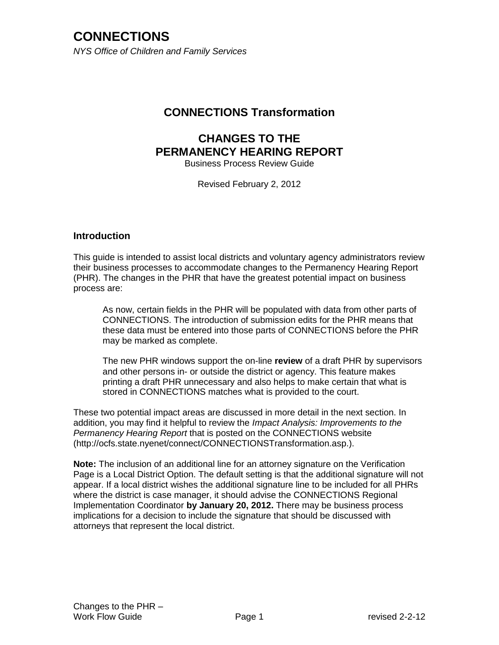*NYS Office of Children and Family Services*

### **CONNECTIONS Transformation**

#### **CHANGES TO THE PERMANENCY HEARING REPORT** Business Process Review Guide

Revised February 2, 2012

#### **Introduction**

This guide is intended to assist local districts and voluntary agency administrators review their business processes to accommodate changes to the Permanency Hearing Report (PHR). The changes in the PHR that have the greatest potential impact on business process are:

As now, certain fields in the PHR will be populated with data from other parts of CONNECTIONS. The introduction of submission edits for the PHR means that these data must be entered into those parts of CONNECTIONS before the PHR may be marked as complete.

The new PHR windows support the on-line **review** of a draft PHR by supervisors and other persons in- or outside the district or agency. This feature makes printing a draft PHR unnecessary and also helps to make certain that what is stored in CONNECTIONS matches what is provided to the court.

These two potential impact areas are discussed in more detail in the next section. In addition, you may find it helpful to review the *Impact Analysis: Improvements to the Permanency Hearing Report* that is posted on the CONNECTIONS website (http://ocfs.state.nyenet/connect/CONNECTIONSTransformation.asp.).

**Note:** The inclusion of an additional line for an attorney signature on the Verification Page is a Local District Option. The default setting is that the additional signature will not appear. If a local district wishes the additional signature line to be included for all PHRs where the district is case manager, it should advise the CONNECTIONS Regional Implementation Coordinator **by January 20, 2012.** There may be business process implications for a decision to include the signature that should be discussed with attorneys that represent the local district.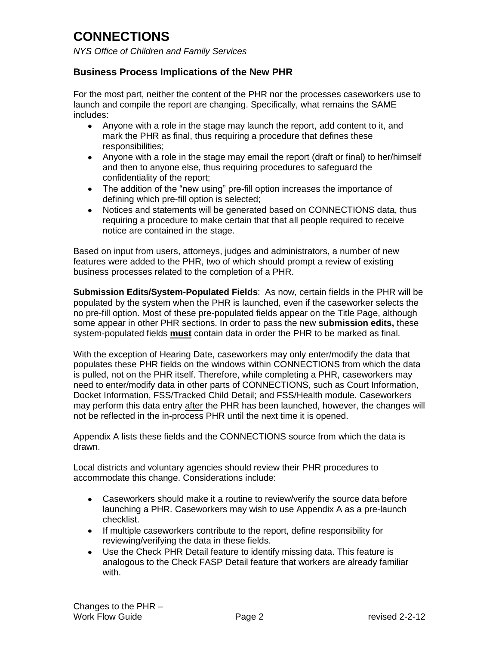*NYS Office of Children and Family Services*

#### **Business Process Implications of the New PHR**

For the most part, neither the content of the PHR nor the processes caseworkers use to launch and compile the report are changing. Specifically, what remains the SAME includes:

- Anyone with a role in the stage may launch the report, add content to it, and mark the PHR as final, thus requiring a procedure that defines these responsibilities;
- Anyone with a role in the stage may email the report (draft or final) to her/himself and then to anyone else, thus requiring procedures to safeguard the confidentiality of the report;
- The addition of the "new using" pre-fill option increases the importance of defining which pre-fill option is selected;
- Notices and statements will be generated based on CONNECTIONS data, thus requiring a procedure to make certain that that all people required to receive notice are contained in the stage.

Based on input from users, attorneys, judges and administrators, a number of new features were added to the PHR, two of which should prompt a review of existing business processes related to the completion of a PHR.

**Submission Edits/System-Populated Fields**: As now, certain fields in the PHR will be populated by the system when the PHR is launched, even if the caseworker selects the no pre-fill option. Most of these pre-populated fields appear on the Title Page, although some appear in other PHR sections. In order to pass the new **submission edits,** these system-populated fields **must** contain data in order the PHR to be marked as final.

With the exception of Hearing Date, caseworkers may only enter/modify the data that populates these PHR fields on the windows within CONNECTIONS from which the data is pulled, not on the PHR itself. Therefore, while completing a PHR, caseworkers may need to enter/modify data in other parts of CONNECTIONS, such as Court Information, Docket Information, FSS/Tracked Child Detail; and FSS/Health module. Caseworkers may perform this data entry after the PHR has been launched, however, the changes will not be reflected in the in-process PHR until the next time it is opened.

Appendix A lists these fields and the CONNECTIONS source from which the data is drawn.

Local districts and voluntary agencies should review their PHR procedures to accommodate this change. Considerations include:

- Caseworkers should make it a routine to review/verify the source data before launching a PHR. Caseworkers may wish to use Appendix A as a pre-launch checklist.
- If multiple caseworkers contribute to the report, define responsibility for reviewing/verifying the data in these fields.
- Use the Check PHR Detail feature to identify missing data. This feature is analogous to the Check FASP Detail feature that workers are already familiar with.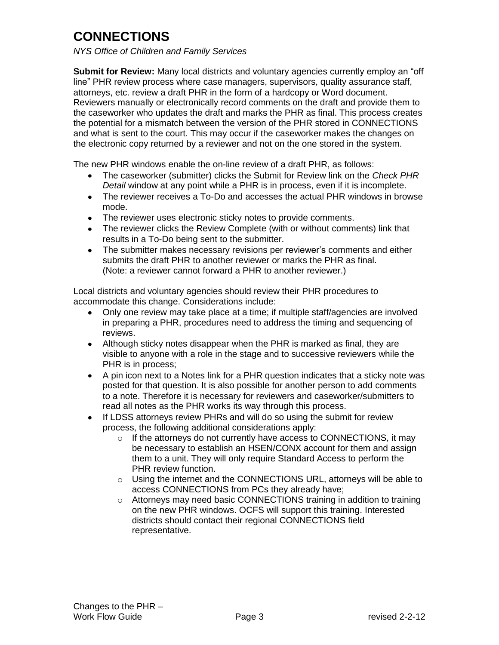*NYS Office of Children and Family Services*

**Submit for Review:** Many local districts and voluntary agencies currently employ an "off line" PHR review process where case managers, supervisors, quality assurance staff, attorneys, etc. review a draft PHR in the form of a hardcopy or Word document. Reviewers manually or electronically record comments on the draft and provide them to the caseworker who updates the draft and marks the PHR as final. This process creates the potential for a mismatch between the version of the PHR stored in CONNECTIONS and what is sent to the court. This may occur if the caseworker makes the changes on the electronic copy returned by a reviewer and not on the one stored in the system.

The new PHR windows enable the on-line review of a draft PHR, as follows:

- The caseworker (submitter) clicks the Submit for Review link on the *Check PHR Detail* window at any point while a PHR is in process, even if it is incomplete.
- The reviewer receives a To-Do and accesses the actual PHR windows in browse mode.
- The reviewer uses electronic sticky notes to provide comments.
- The reviewer clicks the Review Complete (with or without comments) link that results in a To-Do being sent to the submitter.
- The submitter makes necessary revisions per reviewer's comments and either submits the draft PHR to another reviewer or marks the PHR as final. (Note: a reviewer cannot forward a PHR to another reviewer.)

Local districts and voluntary agencies should review their PHR procedures to accommodate this change. Considerations include:

- Only one review may take place at a time; if multiple staff/agencies are involved in preparing a PHR, procedures need to address the timing and sequencing of reviews.
- Although sticky notes disappear when the PHR is marked as final, they are visible to anyone with a role in the stage and to successive reviewers while the PHR is in process;
- A pin icon next to a Notes link for a PHR question indicates that a sticky note was posted for that question. It is also possible for another person to add comments to a note. Therefore it is necessary for reviewers and caseworker/submitters to read all notes as the PHR works its way through this process.
- If LDSS attorneys review PHRs and will do so using the submit for review process, the following additional considerations apply:
	- o If the attorneys do not currently have access to CONNECTIONS, it may be necessary to establish an HSEN/CONX account for them and assign them to a unit. They will only require Standard Access to perform the PHR review function.
	- o Using the internet and the CONNECTIONS URL, attorneys will be able to access CONNECTIONS from PCs they already have;
	- o Attorneys may need basic CONNECTIONS training in addition to training on the new PHR windows. OCFS will support this training. Interested districts should contact their regional CONNECTIONS field representative.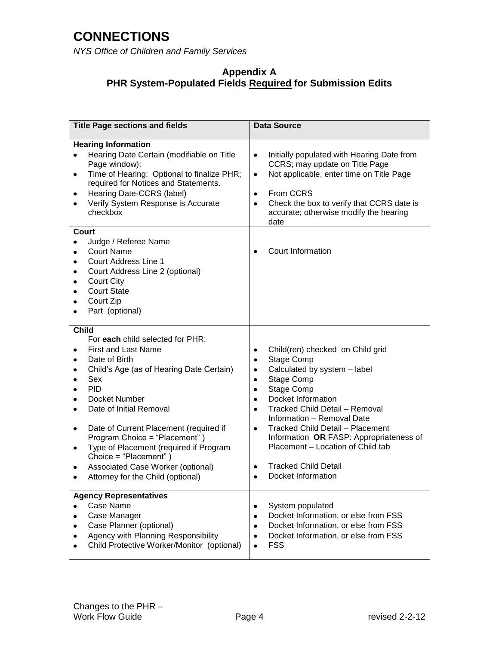*NYS Office of Children and Family Services*

#### **Appendix A PHR System-Populated Fields Required for Submission Edits**

| <b>Title Page sections and fields</b>                                                                                                                                                                                                                                                                                                                                                                                                                         | <b>Data Source</b>                                                                                                                                                                                                                                                                                                                                                                                                                                                                 |
|---------------------------------------------------------------------------------------------------------------------------------------------------------------------------------------------------------------------------------------------------------------------------------------------------------------------------------------------------------------------------------------------------------------------------------------------------------------|------------------------------------------------------------------------------------------------------------------------------------------------------------------------------------------------------------------------------------------------------------------------------------------------------------------------------------------------------------------------------------------------------------------------------------------------------------------------------------|
| <b>Hearing Information</b><br>Hearing Date Certain (modifiable on Title<br>Page window):<br>Time of Hearing: Optional to finalize PHR;<br>٠<br>required for Notices and Statements.<br>Hearing Date-CCRS (label)<br>٠<br>Verify System Response is Accurate<br>checkbox                                                                                                                                                                                       | Initially populated with Hearing Date from<br>$\bullet$<br>CCRS; may update on Title Page<br>Not applicable, enter time on Title Page<br>$\bullet$<br>From CCRS<br>$\bullet$<br>Check the box to verify that CCRS date is<br>$\bullet$<br>accurate; otherwise modify the hearing<br>date                                                                                                                                                                                           |
| Court<br>Judge / Referee Name<br><b>Court Name</b><br>Court Address Line 1<br>٠<br>Court Address Line 2 (optional)<br>٠<br><b>Court City</b><br>٠<br><b>Court State</b><br>٠<br>Court Zip<br>Part (optional)                                                                                                                                                                                                                                                  | Court Information                                                                                                                                                                                                                                                                                                                                                                                                                                                                  |
| <b>Child</b><br>For each child selected for PHR:<br><b>First and Last Name</b><br>Date of Birth<br>٠<br>Child's Age (as of Hearing Date Certain)<br>٠<br>Sex<br><b>PID</b><br>Docket Number<br>Date of Initial Removal<br>Date of Current Placement (required if<br>٠<br>Program Choice = "Placement")<br>Type of Placement (required if Program<br>٠<br>Choice = "Placement")<br>Associated Case Worker (optional)<br>٠<br>Attorney for the Child (optional) | Child(ren) checked on Child grid<br>٠<br>Stage Comp<br>٠<br>Calculated by system - label<br>٠<br>Stage Comp<br>$\bullet$<br>Stage Comp<br>$\bullet$<br>Docket Information<br>$\bullet$<br>Tracked Child Detail - Removal<br>$\bullet$<br>Information - Removal Date<br><b>Tracked Child Detail - Placement</b><br>$\bullet$<br>Information OR FASP: Appropriateness of<br>Placement - Location of Child tab<br><b>Tracked Child Detail</b><br>٠<br>Docket Information<br>$\bullet$ |
| <b>Agency Representatives</b><br>Case Name<br>Case Manager<br>Case Planner (optional)<br>Agency with Planning Responsibility<br>Child Protective Worker/Monitor (optional)                                                                                                                                                                                                                                                                                    | System populated<br>$\bullet$<br>Docket Information, or else from FSS<br>٠<br>Docket Information, or else from FSS<br>٠<br>Docket Information, or else from FSS<br>٠<br><b>FSS</b>                                                                                                                                                                                                                                                                                                 |